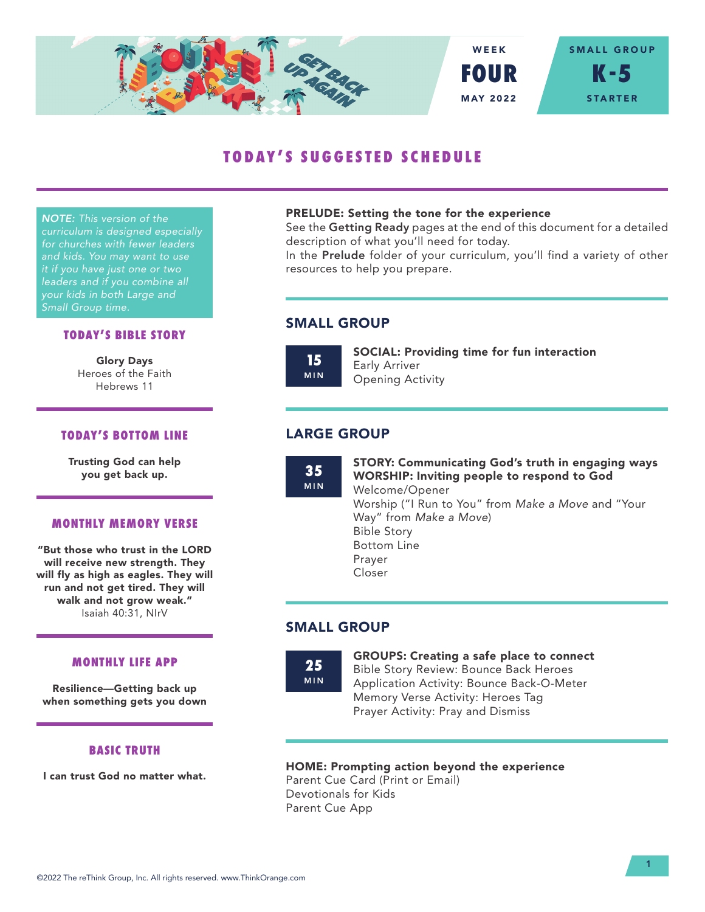

# **TODAY'S SUGGESTED SCHEDULE**

*NOTE: This version of the curriculum is designed especially for churches with fewer leaders and kids. You may want to use it if you have just one or two leaders and if you combine all your kids in both Large and Small Group time.*

## **TODAY'S BIBLE STORY**

Glory Days Heroes of the Faith Hebrews 11

## **TODAY'S BOTTOM LINE**

Trusting God can help you get back up.

#### **MONTHLY MEMORY VERSE**

"But those who trust in the LORD will receive new strength. They will fly as high as eagles. They will run and not get tired. They will walk and not grow weak." Isaiah 40:31, NIrV

#### **MONTHLY LIFE APP**

Resilience—Getting back up when something gets you down

# **BASIC TRUTH**

I can trust God no matter what.

#### PRELUDE: Setting the tone for the experience

See the Getting Ready pages at the end of this document for a detailed description of what you'll need for today.

In the Prelude folder of your curriculum, you'll find a variety of other resources to help you prepare.

# SMALL GROUP

**15** MIN SOCIAL: Providing time for fun interaction Early Arriver Opening Activity

# LARGE GROUP

**35** MIN STORY: Communicating God's truth in engaging ways WORSHIP: Inviting people to respond to God Welcome/Opener Worship ("I Run to You" from *Make a Move* and "Your Way" from *Make a Move*) Bible Story Bottom Line Prayer Closer

# SMALL GROUP

**25** MIN GROUPS: Creating a safe place to connect Bible Story Review: Bounce Back Heroes Application Activity: Bounce Back-O-Meter Memory Verse Activity: Heroes Tag Prayer Activity: Pray and Dismiss

## HOME: Prompting action beyond the experience

Parent Cue Card (Print or Email) Devotionals for Kids Parent Cue App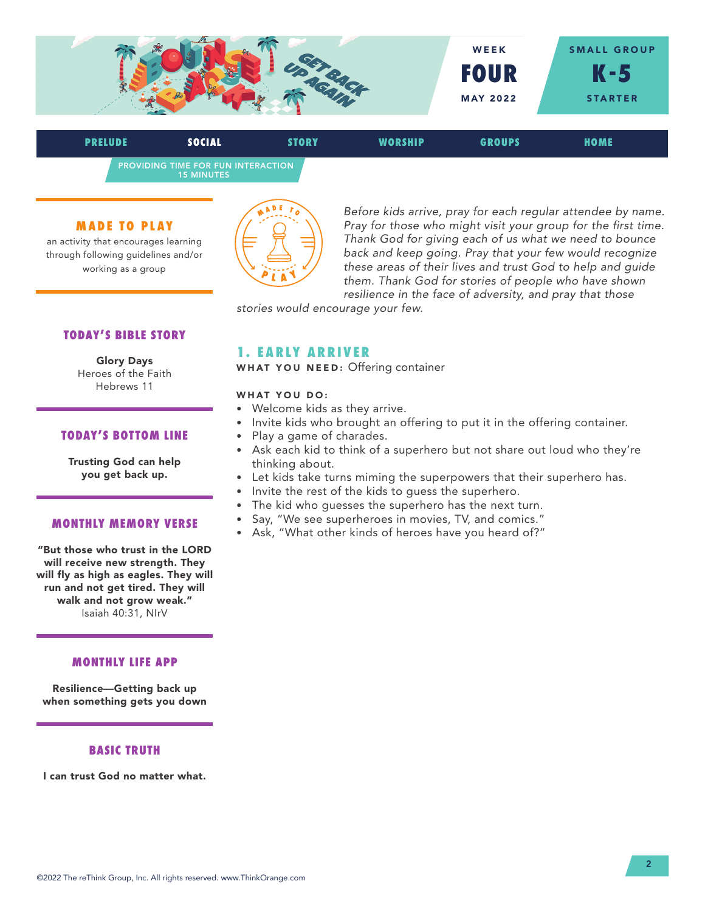

PROVIDING TIME FOR FUN INTERACTION 15 MINUTES **PRELUDE SOCIAL STORY WORSHIP GROUPS HOME**

#### **MADE TO PLAY**

an activity that encourages learning through following guidelines and/or working as a group



*Before kids arrive, pray for each regular attendee by name. Pray for those who might visit your group for the first time. Thank God for giving each of us what we need to bounce back and keep going. Pray that your few would recognize these areas of their lives and trust God to help and guide them. Thank God for stories of people who have shown resilience in the face of adversity, and pray that those* 

*stories would encourage your few.* 

# **TODAY'S BIBLE STORY**

Glory Days Heroes of the Faith Hebrews 11

## **TODAY'S BOTTOM LINE**

Trusting God can help you get back up.

#### **MONTHLY MEMORY VERSE**

"But those who trust in the LORD will receive new strength. They will fly as high as eagles. They will run and not get tired. They will walk and not grow weak." Isaiah 40:31, NIrV

## **MONTHLY LIFE APP**

Resilience—Getting back up when something gets you down

## **BASIC TRUTH**

I can trust God no matter what.

# **1. EARLY ARRIVER**

WHAT YOU NEED: Offering container

#### WHAT YOU DO:

- Welcome kids as they arrive.
- Invite kids who brought an offering to put it in the offering container.
- Play a game of charades.
- Ask each kid to think of a superhero but not share out loud who they're thinking about.
- Let kids take turns miming the superpowers that their superhero has.
- Invite the rest of the kids to guess the superhero.
- The kid who guesses the superhero has the next turn.
- Say, "We see superheroes in movies, TV, and comics."
- Ask, "What other kinds of heroes have you heard of?"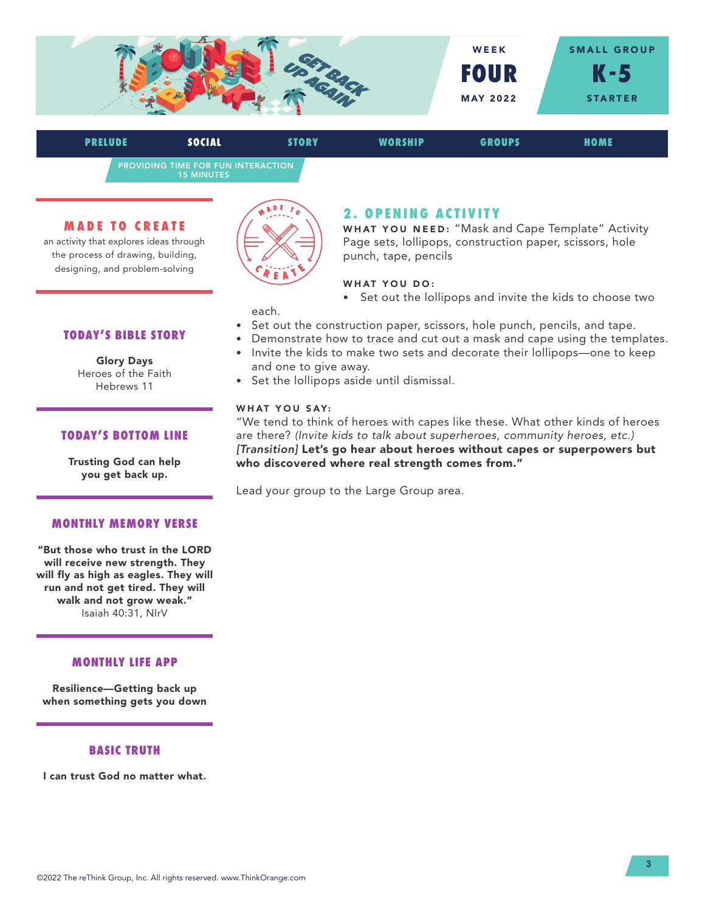

PROVIDING TIME FOR FUN INTERACTION 15 MINUTES **PRELUDE SOCIAL STORY WORSHIP GROUPS HOME**

#### **MADE TO CREATE**

an activity that explores ideas through the process of drawing, building, designing, and problem-solving



# **2. OPENING ACTIVITY**

WHAT YOU NEED: "Mask and Cape Template" Activity Page sets, lollipops, construction paper, scissors, hole punch, tape, pencils

## WHAT YOU DO:

• Set out the lollipops and invite the kids to choose two

each.

- Set out the construction paper, scissors, hole punch, pencils, and tape.
- Demonstrate how to trace and cut out a mask and cape using the templates.
- Invite the kids to make two sets and decorate their lollipops—one to keep and one to give away.
- Set the lollipops aside until dismissal.

#### WHAT YOU SAY:

"We tend to think of heroes with capes like these. What other kinds of heroes are there? *(Invite kids to talk about superheroes, community heroes, etc.) [Transition]* Let's go hear about heroes without capes or superpowers but who discovered where real strength comes from."

Lead your group to the Large Group area.

# **TODAY'S BIBLE STORY**

Glory Days Heroes of the Faith Hebrews 11

#### **TODAY'S BOTTOM LINE**

Trusting God can help you get back up.

#### **MONTHLY MEMORY VERSE**

"But those who trust in the LORD will receive new strength. They will fly as high as eagles. They will run and not get tired. They will walk and not grow weak." Isaiah 40:31, NIrV

## **MONTHLY LIFE APP**

Resilience—Getting back up when something gets you down

## **BASIC TRUTH**

I can trust God no matter what.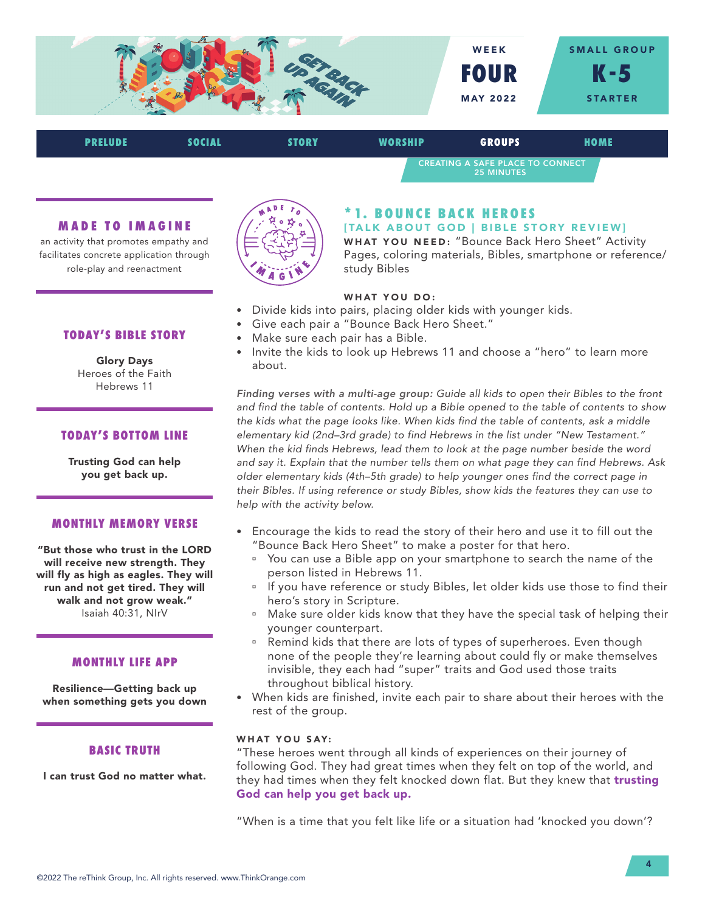



#### **MADE TO IMAGINE**

an activity that promotes empathy and facilitates concrete application through role-play and reenactment



# **\* 1. B O U N C E B A C K H E R O E S**

[TALK ABOUT GOD | BIBLE STORY REVIEW] WHAT YOU NEED: "Bounce Back Hero Sheet" Activity Pages, coloring materials, Bibles, smartphone or reference/ study Bibles

## WHAT YOU DO:

- Divide kids into pairs, placing older kids with younger kids.
- Give each pair a "Bounce Back Hero Sheet."
- Make sure each pair has a Bible.
- Invite the kids to look up Hebrews 11 and choose a "hero" to learn more about.

*Finding verses with a multi-age group: Guide all kids to open their Bibles to the front and find the table of contents. Hold up a Bible opened to the table of contents to show the kids what the page looks like. When kids find the table of contents, ask a middle elementary kid (2nd–3rd grade) to find Hebrews in the list under "New Testament." When the kid finds Hebrews, lead them to look at the page number beside the word and say it. Explain that the number tells them on what page they can find Hebrews. Ask older elementary kids (4th–5th grade) to help younger ones find the correct page in their Bibles. If using reference or study Bibles, show kids the features they can use to help with the activity below.*

- Encourage the kids to read the story of their hero and use it to fill out the "Bounce Back Hero Sheet" to make a poster for that hero.
	- <sup>o</sup> You can use a Bible app on your smartphone to search the name of the person listed in Hebrews 11.
	- **If you have reference or study Bibles, let older kids use those to find their** hero's story in Scripture.
	- <sup>n</sup> Make sure older kids know that they have the special task of helping their younger counterpart.
	- Remind kids that there are lots of types of superheroes. Even though none of the people they're learning about could fly or make themselves invisible, they each had "super" traits and God used those traits throughout biblical history.
- When kids are finished, invite each pair to share about their heroes with the rest of the group.

#### WHAT YOU SAY:

"These heroes went through all kinds of experiences on their journey of following God. They had great times when they felt on top of the world, and they had times when they felt knocked down flat. But they knew that trusting God can help you get back up.

"When is a time that you felt like life or a situation had 'knocked you down'?

## **TODAY'S BIBLE STORY**

Glory Days Heroes of the Faith Hebrews 11

## **TODAY'S BOTTOM LINE**

Trusting God can help you get back up.

#### **MONTHLY MEMORY VERSE**

"But those who trust in the LORD will receive new strength. They will fly as high as eagles. They will run and not get tired. They will walk and not grow weak." Isaiah 40:31, NIrV

#### **MONTHLY LIFE APP**

Resilience—Getting back up when something gets you down

#### **BASIC TRUTH**

I can trust God no matter what.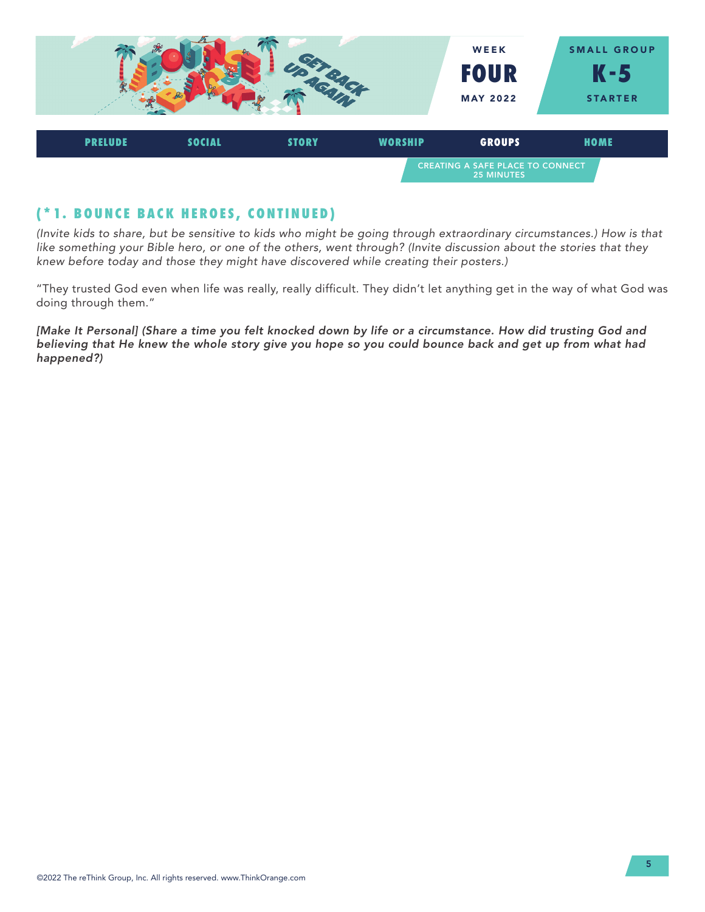

# **(\*1. BOUNCE BACK HEROES, CONTINUED)**

*(Invite kids to share, but be sensitive to kids who might be going through extraordinary circumstances.) How is that like something your Bible hero, or one of the others, went through? (Invite discussion about the stories that they knew before today and those they might have discovered while creating their posters.)* 

"They trusted God even when life was really, really difficult. They didn't let anything get in the way of what God was doing through them."

[Make It Personal] (Share a time you felt knocked down by life or a circumstance. How did trusting God and *believing that He knew the whole story give you hope so you could bounce back and get up from what had happened?)*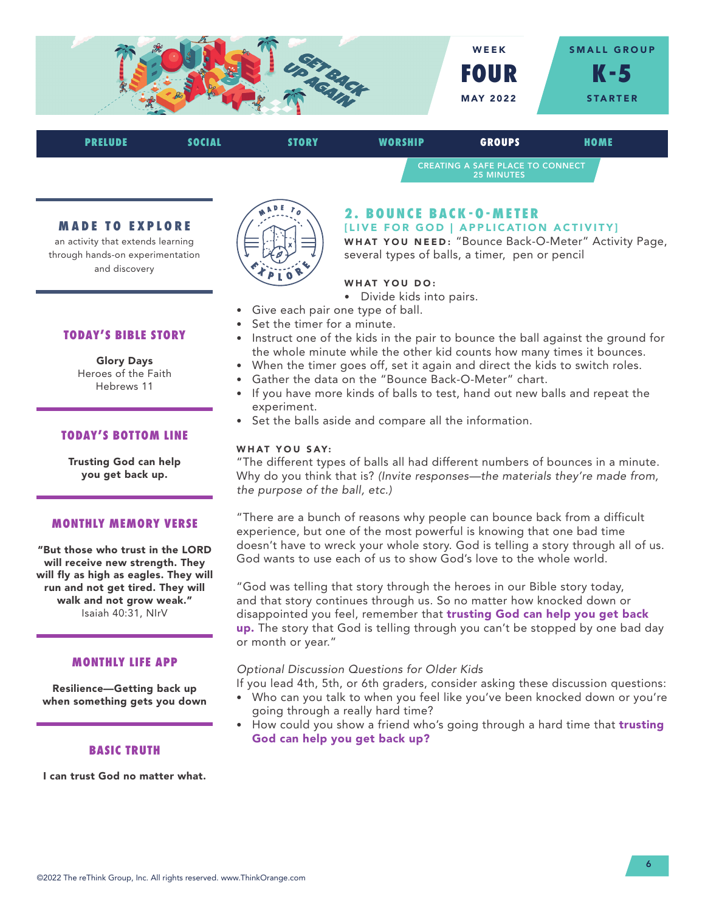

| <b>PRELUDE</b> | SOCIAL | <b>STORY</b> | WORSHIP | <b>GROUPS</b>                                                | HOME |
|----------------|--------|--------------|---------|--------------------------------------------------------------|------|
|                |        |              |         | <b>CREATING A SAFE PLACE TO CONNECT</b><br><b>25 MINUTES</b> |      |

#### **MADE TO EXPLORE**

an activity that extends learning through hands-on experimentation and discovery



# **2 . B O U N C E B A C K - O - M E T E R**

[LIVE FOR GOD | APPLICATION ACTIVITY]

WHAT YOU NEED: "Bounce Back-O-Meter" Activity Page, several types of balls, a timer, pen or pencil

## WHAT YOU DO:

- Divide kids into pairs.
- Give each pair one type of ball.
- Set the timer for a minute.
- Instruct one of the kids in the pair to bounce the ball against the ground for the whole minute while the other kid counts how many times it bounces.
- When the timer goes off, set it again and direct the kids to switch roles.
- Gather the data on the "Bounce Back-O-Meter" chart.
- If you have more kinds of balls to test, hand out new balls and repeat the experiment.
- Set the balls aside and compare all the information.

#### WHAT YOU SAY:

"The different types of balls all had different numbers of bounces in a minute. Why do you think that is? *(Invite responses—the materials they're made from, the purpose of the ball, etc.)* 

"There are a bunch of reasons why people can bounce back from a difficult experience, but one of the most powerful is knowing that one bad time doesn't have to wreck your whole story. God is telling a story through all of us. God wants to use each of us to show God's love to the whole world.

"God was telling that story through the heroes in our Bible story today, and that story continues through us. So no matter how knocked down or disappointed you feel, remember that trusting God can help you get back up. The story that God is telling through you can't be stopped by one bad day or month or year."

## *Optional Discussion Questions for Older Kids*

If you lead 4th, 5th, or 6th graders, consider asking these discussion questions:

- Who can you talk to when you feel like you've been knocked down or you're going through a really hard time?
- How could you show a friend who's going through a hard time that trusting God can help you get back up?

#### **TODAY'S BIBLE STORY**

Glory Days Heroes of the Faith Hebrews 11

## **TODAY'S BOTTOM LINE**

Trusting God can help you get back up.

#### **MONTHLY MEMORY VERSE**

"But those who trust in the LORD will receive new strength. They will fly as high as eagles. They will run and not get tired. They will walk and not grow weak." Isaiah 40:31, NIrV

#### **MONTHLY LIFE APP**

Resilience—Getting back up when something gets you down

## **BASIC TRUTH**

I can trust God no matter what.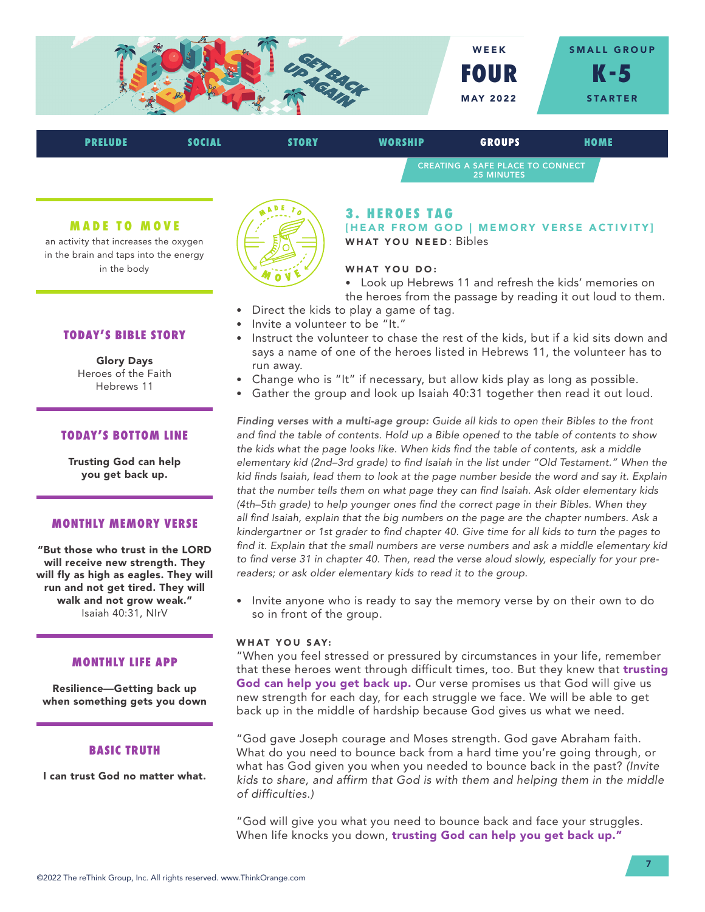

| <b>PRELUDE</b> | SOCIAL | <b>STORY</b> | <b>WORSHIP</b> | <b>GROUPS</b>                                                | HOME |
|----------------|--------|--------------|----------------|--------------------------------------------------------------|------|
|                |        |              |                | <b>CREATING A SAFE PLACE TO CONNECT</b><br><b>25 MINUTES</b> |      |

#### **MADE TO MOVE**

an activity that increases the oxygen in the brain and taps into the energy in the body



Glory Days Heroes of the Faith Hebrews 11

## **TODAY'S BOTTOM LINE**

Trusting God can help you get back up.

#### **MONTHLY MEMORY VERSE**

"But those who trust in the LORD will receive new strength. They will fly as high as eagles. They will run and not get tired. They will walk and not grow weak." Isaiah 40:31, NIrV

#### **MONTHLY LIFE APP**

Resilience—Getting back up when something gets you down

#### **BASIC TRUTH**

I can trust God no matter what.



## **3. HEROES TAG**

[HEAR FROM GOD | MEMORY VERSE ACTIVITY] WHAT YOU NEED: Bibles

#### WHAT YOU DO:

• Look up Hebrews 11 and refresh the kids' memories on the heroes from the passage by reading it out loud to them.

- Direct the kids to play a game of tag.
- Invite a volunteer to be "It."
- Instruct the volunteer to chase the rest of the kids, but if a kid sits down and says a name of one of the heroes listed in Hebrews 11, the volunteer has to run away.
- Change who is "It" if necessary, but allow kids play as long as possible.
- Gather the group and look up Isaiah 40:31 together then read it out loud.

*Finding verses with a multi-age group: Guide all kids to open their Bibles to the front and find the table of contents. Hold up a Bible opened to the table of contents to show the kids what the page looks like. When kids find the table of contents, ask a middle elementary kid (2nd–3rd grade) to find Isaiah in the list under "Old Testament." When the kid finds Isaiah, lead them to look at the page number beside the word and say it. Explain that the number tells them on what page they can find Isaiah. Ask older elementary kids (4th–5th grade) to help younger ones find the correct page in their Bibles. When they all find Isaiah, explain that the big numbers on the page are the chapter numbers. Ask a kindergartner or 1st grader to find chapter 40. Give time for all kids to turn the pages to find it. Explain that the small numbers are verse numbers and ask a middle elementary kid to find verse 31 in chapter 40. Then, read the verse aloud slowly, especially for your prereaders; or ask older elementary kids to read it to the group.*

• Invite anyone who is ready to say the memory verse by on their own to do so in front of the group.

#### WHAT YOU SAY:

"When you feel stressed or pressured by circumstances in your life, remember that these heroes went through difficult times, too. But they knew that trusting God can help you get back up. Our verse promises us that God will give us new strength for each day, for each struggle we face. We will be able to get back up in the middle of hardship because God gives us what we need.

"God gave Joseph courage and Moses strength. God gave Abraham faith. What do you need to bounce back from a hard time you're going through, or what has God given you when you needed to bounce back in the past? *(Invite kids to share, and affirm that God is with them and helping them in the middle of difficulties.)* 

"God will give you what you need to bounce back and face your struggles. When life knocks you down, trusting God can help you get back up."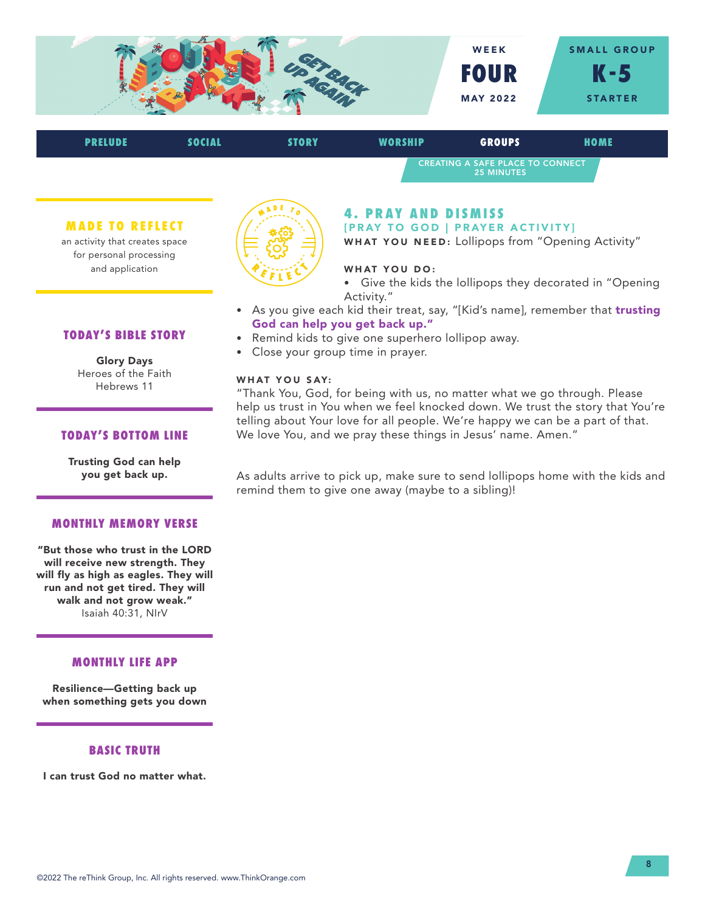

| <b>PRELUDE</b> | <b>SOCIAL</b> | <b>STORY</b> | <b>WORSHIP</b>             | <b>GROUPS</b>                                         | <b>HOME</b> |
|----------------|---------------|--------------|----------------------------|-------------------------------------------------------|-------------|
|                |               |              |                            | CREATING A SAFE PLACE TO CONNECT<br><b>25 MINUTES</b> |             |
|                |               |              | <b>4. PRAY AND DISMISS</b> |                                                       |             |

[PRAY TO GOD | PRAYER ACTIVITY]

WHAT YOU NEED: Lollipops from "Opening Activity"

## WHAT YOU DO:

• Give the kids the lollipops they decorated in "Opening Activity."

- As you give each kid their treat, say, "[Kid's name], remember that trusting God can help you get back up."
- Remind kids to give one superhero lollipop away.
- Close your group time in prayer.

## WHAT YOU SAY:

"Thank You, God, for being with us, no matter what we go through. Please help us trust in You when we feel knocked down. We trust the story that You're telling about Your love for all people. We're happy we can be a part of that. We love You, and we pray these things in Jesus' name. Amen."

As adults arrive to pick up, make sure to send lollipops home with the kids and remind them to give one away (maybe to a sibling)!

**MADE TO REFLECT** an activity that creates space

for personal processing and application



Glory Days Heroes of the Faith Hebrews 11

# **TODAY'S BOTTOM LINE**

Trusting God can help you get back up.

#### **MONTHLY MEMORY VERSE**

"But those who trust in the LORD will receive new strength. They will fly as high as eagles. They will run and not get tired. They will walk and not grow weak." Isaiah 40:31, NIrV

## **MONTHLY LIFE APP**

Resilience—Getting back up when something gets you down

## **BASIC TRUTH**

I can trust God no matter what.

©2022 The reThink Group, Inc. All rights reserved. www.ThinkOrange.com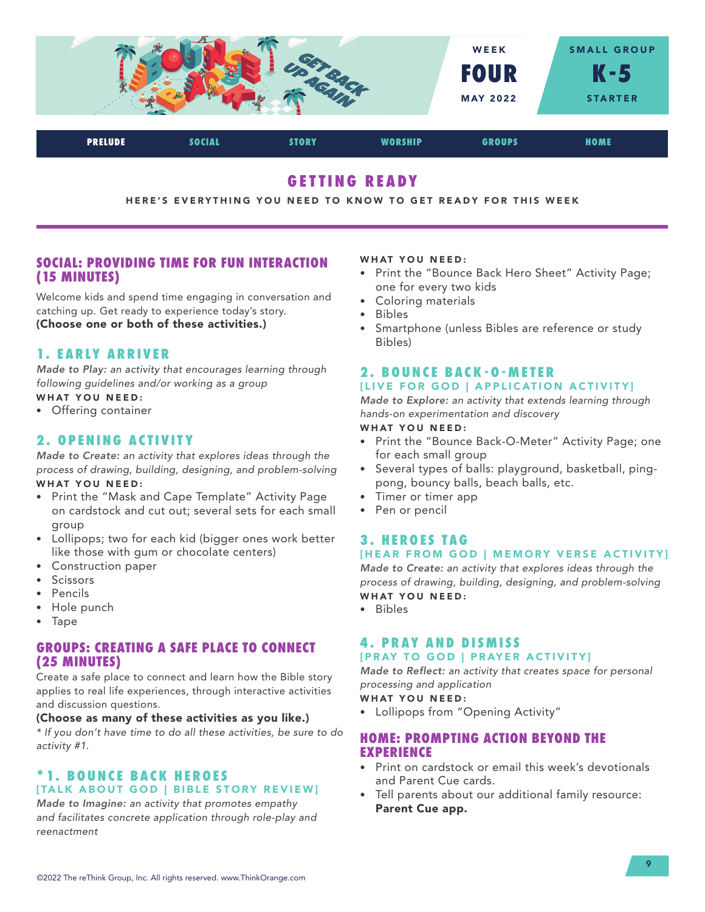

# **GETTING READY**

#### HERE'S EVERYTHING YOU NEED TO KNOW TO GET READY FOR THIS WEEK

# **SOCIAL: PROVIDING TIME FOR FUN INTERACTION (15 MINUTES)**

Welcome kids and spend time engaging in conversation and catching up. Get ready to experience today's story. (Choose one or both of these activities.)

# **1. EARLY ARRIVER**

*Made to Play: an activity that encourages learning through following guidelines and/or working as a group*

# WHAT YOU NEED:

• Offering container

# **2. OPENING ACTIVITY**

*Made to Create: an activity that explores ideas through the process of drawing, building, designing, and problem-solving* WHAT YOU NEED:

- Print the "Mask and Cape Template" Activity Page on cardstock and cut out; several sets for each small group
- Lollipops; two for each kid (bigger ones work better like those with gum or chocolate centers)
- Construction paper
- Scissors
- Pencils
- Hole punch
- Tape

# **GROUPS: CREATING A SAFE PLACE TO CONNECT (25 MINUTES)**

Create a safe place to connect and learn how the Bible story applies to real life experiences, through interactive activities and discussion questions.

#### (Choose as many of these activities as you like.)

*\* If you don't have time to do all these activities, be sure to do activity #1.*

# **\* 1. B O U N C E B A C K H E R O E S**  [TALK ABOUT GOD | BIBLE STORY REVIEW]

*Made to Imagine: an activity that promotes empathy and facilitates concrete application through role-play and reenactment*

#### WHAT YOU NEED:

- Print the "Bounce Back Hero Sheet" Activity Page; one for every two kids
- Coloring materials
- Bibles
- Smartphone (unless Bibles are reference or study Bibles)

#### **2 . B O U N C E B A C K - O - M E T E R**  [LIVE FOR GOD | APPLICATION ACTIVITY]

*Made to Explore: an activity that extends learning through hands-on experimentation and discovery*

## WHAT YOU NEED:

- Print the "Bounce Back-O-Meter" Activity Page; one for each small group
- Several types of balls: playground, basketball, pingpong, bouncy balls, beach balls, etc.
- Timer or timer app
- Pen or pencil

# **3. HEROES TAG** [HEAR FROM GOD | MEMORY VERSE ACTIVITY]

*Made to Create: an activity that explores ideas through the process of drawing, building, designing, and problem-solving* WHAT YOU NEED:

• Bibles

## **4. PRAY AND DISMISS** [PRAY TO GOD | PRAYER ACTIVITY]

*Made to Reflect: an activity that creates space for personal processing and application*

#### WHAT YOU NEED:

• Lollipops from "Opening Activity"

# **HOME: PROMPTING ACTION BEYOND THE EXPERIENCE**

- Print on cardstock or email this week's devotionals and Parent Cue cards.
- Tell parents about our additional family resource: Parent Cue app.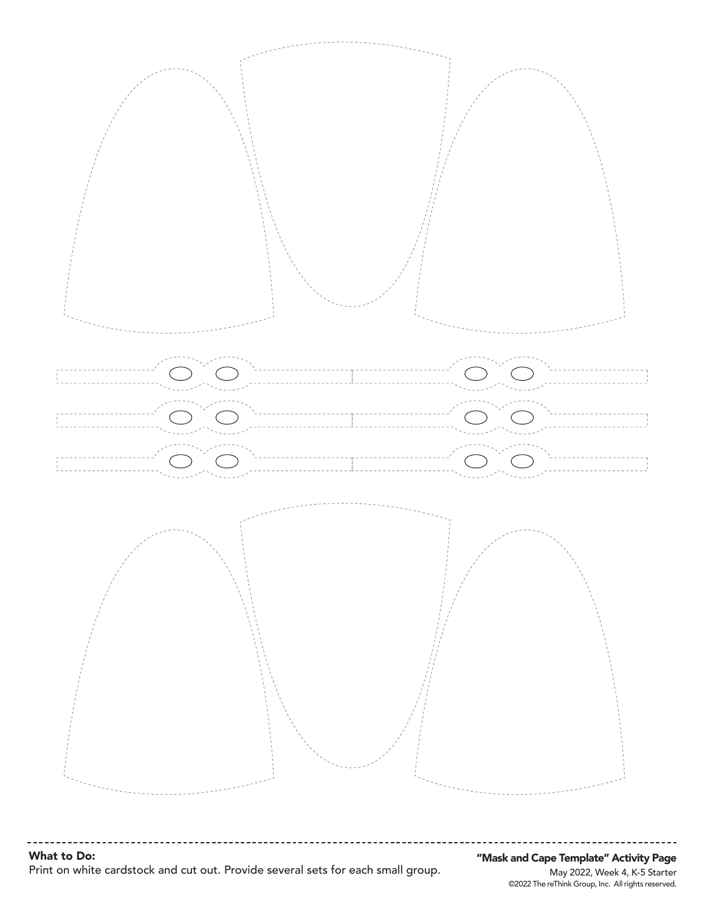

What to Do: Print on white cardstock and cut out. Provide several sets for each small group.

©2022 The reThink Group, Inc. All rights reserved. May 2022, Week 4, K-5 Starter "Mask and Cape Template" Activity Page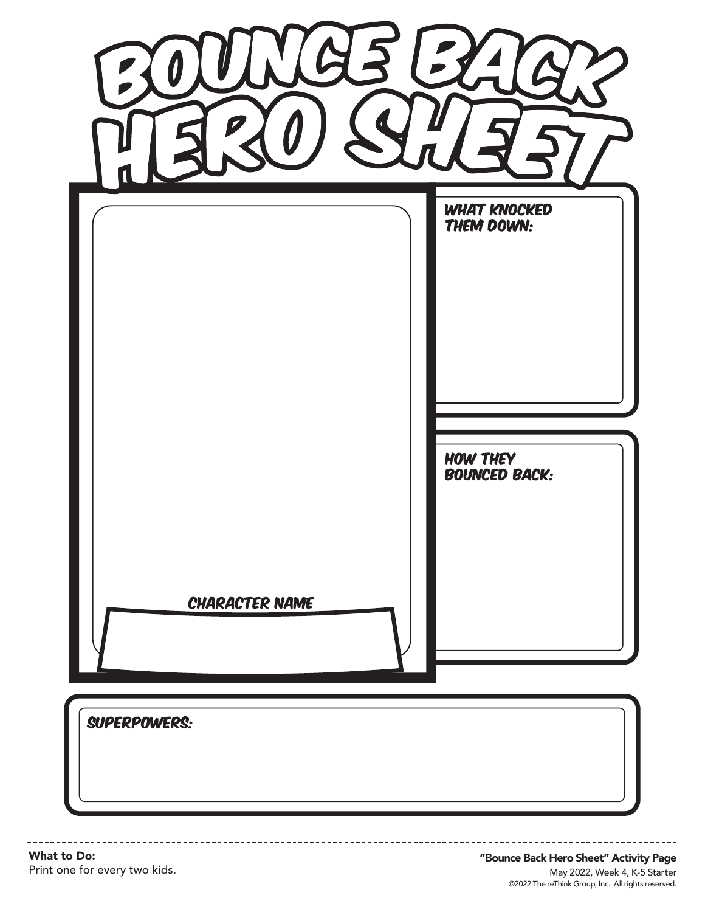|                       | <b>WHAT KNOCKED</b><br>THEM DOWN:       |
|-----------------------|-----------------------------------------|
|                       | <b>HOW THEY</b><br><b>BOUNCED BACK:</b> |
| <b>CHARACTER NAME</b> |                                         |
| SUPERPOWERS:          |                                         |

What to Do: Print one for every two kids. ------------------------

©2022 The reThink Group, Inc. All rights reserved. May 2022, Week 4, K-5 Starter "Bounce Back Hero Sheet" Activity Page